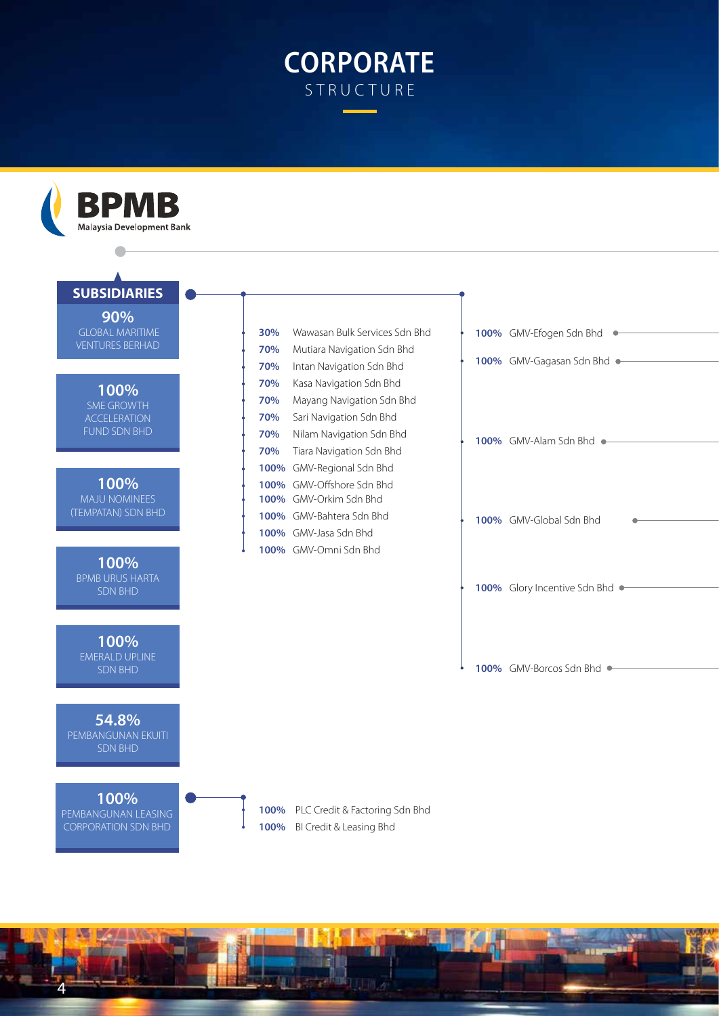## **CORPORATE STRUCTURE**



4